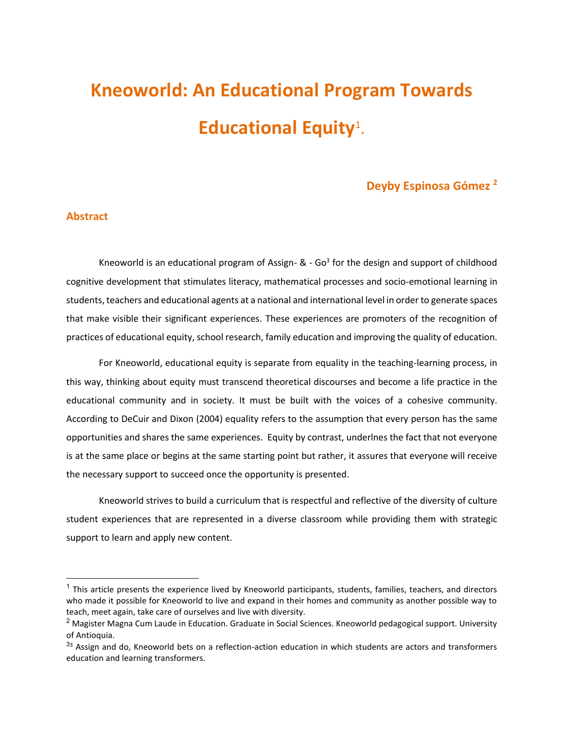# **Kneoworld: An Educational Program Towards Educational Equity**<sup>1</sup> .

## **Deyby Espinosa Gómez <sup>2</sup>**

#### **Abstract**

Kneoworld is an educational program of Assign-  $\&$  - Go<sup>3</sup> for the design and support of childhood cognitive development that stimulates literacy, mathematical processes and socio-emotional learning in students, teachers and educational agents at a national and international level in order to generate spaces that make visible their significant experiences. These experiences are promoters of the recognition of practices of educational equity, school research, family education and improving the quality of education.

For Kneoworld, educational equity is separate from equality in the teaching-learning process, in this way, thinking about equity must transcend theoretical discourses and become a life practice in the educational community and in society. It must be built with the voices of a cohesive community. According to DeCuir and Dixon (2004) equality refers to the assumption that every person has the same opportunities and shares the same experiences. Equity by contrast, underlnes the fact that not everyone is at the same place or begins at the same starting point but rather, it assures that everyone will receive the necessary support to succeed once the opportunity is presented.

Kneoworld strives to build a curriculum that is respectful and reflective of the diversity of culture student experiences that are represented in a diverse classroom while providing them with strategic support to learn and apply new content.

<sup>&</sup>lt;sup>1</sup> This article presents the experience lived by Kneoworld participants, students, families, teachers, and directors who made it possible for Kneoworld to live and expand in their homes and community as another possible way to teach, meet again, take care of ourselves and live with diversity.

<sup>&</sup>lt;sup>2</sup> Magister Magna Cum Laude in Education. Graduate in Social Sciences. Kneoworld pedagogical support. University of Antioquia.

<sup>33</sup> Assign and do, Kneoworld bets on a reflection-action education in which students are actors and transformers education and learning transformers.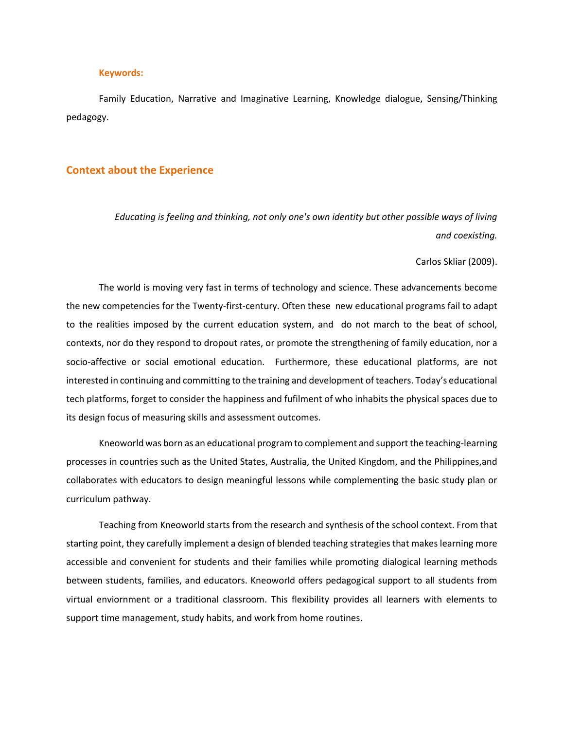#### **Keywords:**

Family Education, Narrative and Imaginative Learning, Knowledge dialogue, Sensing/Thinking pedagogy.

#### **Context about the Experience**

*Educating is feeling and thinking, not only one's own identity but other possible ways of living and coexisting.* 

#### Carlos Skliar (2009).

The world is moving very fast in terms of technology and science. These advancements become the new competencies for the Twenty-first-century. Often these new educational programs fail to adapt to the realities imposed by the current education system, and do not march to the beat of school, contexts, nor do they respond to dropout rates, or promote the strengthening of family education, nor a socio-affective or social emotional education. Furthermore, these educational platforms, are not interested in continuing and committing to the training and development of teachers. Today's educational tech platforms, forget to consider the happiness and fufilment of who inhabits the physical spaces due to its design focus of measuring skills and assessment outcomes.

Kneoworld was born as an educational program to complement and support the teaching-learning processes in countries such as the United States, Australia, the United Kingdom, and the Philippines,and collaborates with educators to design meaningful lessons while complementing the basic study plan or curriculum pathway.

Teaching from Kneoworld starts from the research and synthesis of the school context. From that starting point, they carefully implement a design of blended teaching strategies that makes learning more accessible and convenient for students and their families while promoting dialogical learning methods between students, families, and educators. Kneoworld offers pedagogical support to all students from virtual enviornment or a traditional classroom. This flexibility provides all learners with elements to support time management, study habits, and work from home routines.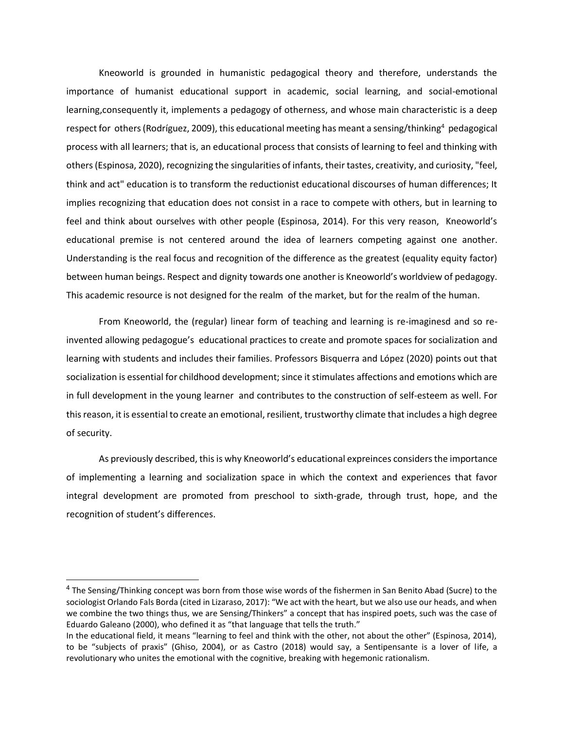Kneoworld is grounded in humanistic pedagogical theory and therefore, understands the importance of humanist educational support in academic, social learning, and social-emotional learning,consequently it, implements a pedagogy of otherness, and whose main characteristic is a deep respect for others (Rodríguez, 2009), this educational meeting has meant a sensing/thinking<sup>4</sup> pedagogical process with all learners; that is, an educational process that consists of learning to feel and thinking with others (Espinosa, 2020), recognizing the singularities of infants, their tastes, creativity, and curiosity, "feel, think and act" education is to transform the reductionist educational discourses of human differences; It implies recognizing that education does not consist in a race to compete with others, but in learning to feel and think about ourselves with other people (Espinosa, 2014). For this very reason, Kneoworld's educational premise is not centered around the idea of learners competing against one another. Understanding is the real focus and recognition of the difference as the greatest (equality equity factor) between human beings. Respect and dignity towards one another is Kneoworld's worldview of pedagogy. This academic resource is not designed for the realm of the market, but for the realm of the human.

From Kneoworld, the (regular) linear form of teaching and learning is re-imaginesd and so reinvented allowing pedagogue's educational practices to create and promote spaces for socialization and learning with students and includes their families. Professors Bisquerra and López (2020) points out that socialization is essential for childhood development; since it stimulates affections and emotions which are in full development in the young learner and contributes to the construction of self-esteem as well. For this reason, it is essential to create an emotional, resilient, trustworthy climate that includes a high degree of security.

As previously described, this is why Kneoworld's educational expreinces considers the importance of implementing a learning and socialization space in which the context and experiences that favor integral development are promoted from preschool to sixth-grade, through trust, hope, and the recognition of student's differences.

<sup>&</sup>lt;sup>4</sup> The Sensing/Thinking concept was born from those wise words of the fishermen in San Benito Abad (Sucre) to the sociologist Orlando Fals Borda (cited in Lizaraso, 2017): "We act with the heart, but we also use our heads, and when we combine the two things thus, we are Sensing/Thinkers" a concept that has inspired poets, such was the case of Eduardo Galeano (2000), who defined it as "that language that tells the truth."

In the educational field, it means "learning to feel and think with the other, not about the other" (Espinosa, 2014), to be "subjects of praxis" (Ghiso, 2004), or as Castro (2018) would say, a Sentipensante is a lover of life, a revolutionary who unites the emotional with the cognitive, breaking with hegemonic rationalism.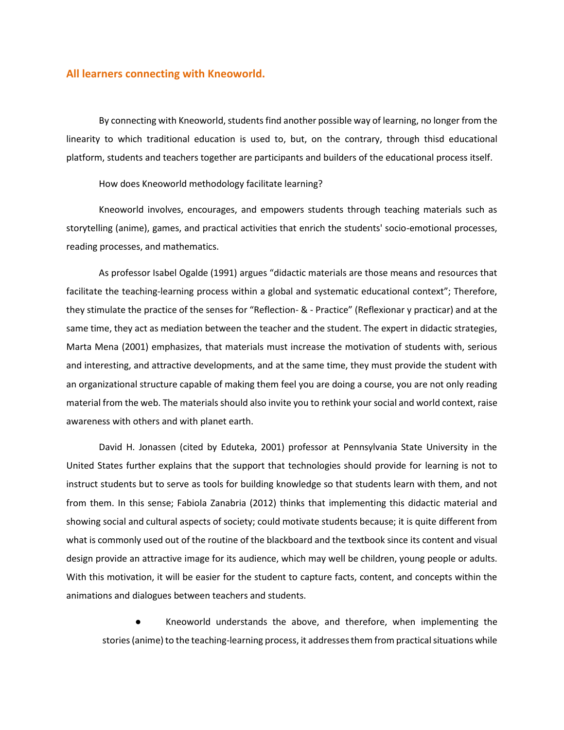#### **All learners connecting with Kneoworld.**

By connecting with Kneoworld, students find another possible way of learning, no longer from the linearity to which traditional education is used to, but, on the contrary, through thisd educational platform, students and teachers together are participants and builders of the educational process itself.

How does Kneoworld methodology facilitate learning?

Kneoworld involves, encourages, and empowers students through teaching materials such as storytelling (anime), games, and practical activities that enrich the students' socio-emotional processes, reading processes, and mathematics.

As professor Isabel Ogalde (1991) argues "didactic materials are those means and resources that facilitate the teaching-learning process within a global and systematic educational context"; Therefore, they stimulate the practice of the senses for "Reflection- & - Practice" (Reflexionar y practicar) and at the same time, they act as mediation between the teacher and the student. The expert in didactic strategies, Marta Mena (2001) emphasizes, that materials must increase the motivation of students with, serious and interesting, and attractive developments, and at the same time, they must provide the student with an organizational structure capable of making them feel you are doing a course, you are not only reading material from the web. The materials should also invite you to rethink your social and world context, raise awareness with others and with planet earth.

David H. Jonassen (cited by Eduteka, 2001) professor at Pennsylvania State University in the United States further explains that the support that technologies should provide for learning is not to instruct students but to serve as tools for building knowledge so that students learn with them, and not from them. In this sense; Fabiola Zanabria (2012) thinks that implementing this didactic material and showing social and cultural aspects of society; could motivate students because; it is quite different from what is commonly used out of the routine of the blackboard and the textbook since its content and visual design provide an attractive image for its audience, which may well be children, young people or adults. With this motivation, it will be easier for the student to capture facts, content, and concepts within the animations and dialogues between teachers and students.

Kneoworld understands the above, and therefore, when implementing the stories (anime) to the teaching-learning process, it addresses them from practical situations while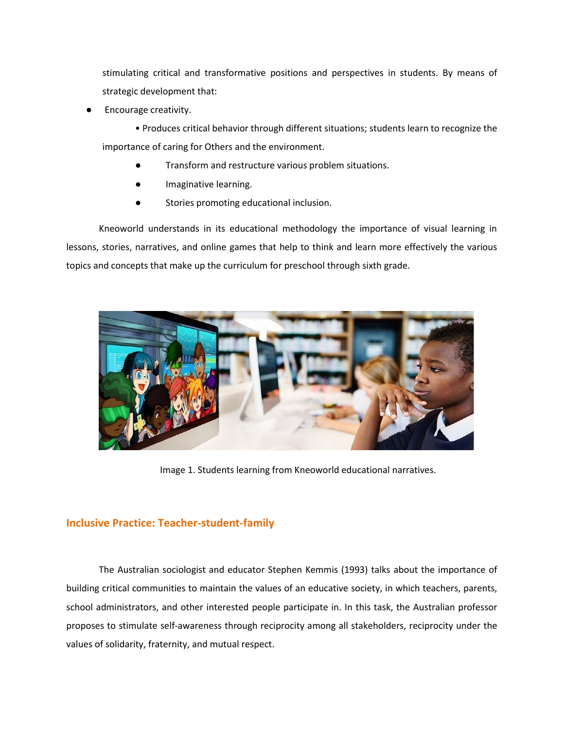stimulating critical and transformative positions and perspectives in students. By means of strategic development that:

Encourage creativity.

• Produces critical behavior through different situations; students learn to recognize the importance of caring for Others and the environment.

- Transform and restructure various problem situations.
- Imaginative learning.
- Stories promoting educational inclusion.

Kneoworld understands in its educational methodology the importance of visual learning in lessons, stories, narratives, and online games that help to think and learn more effectively the various topics and concepts that make up the curriculum for preschool through sixth grade.



Image 1. Students learning from Kneoworld educational narratives.

### **Inclusive Practice: Teacher-student-family**

The Australian sociologist and educator Stephen Kemmis (1993) talks about the importance of building critical communities to maintain the values of an educative society, in which teachers, parents, school administrators, and other interested people participate in. In this task, the Australian professor proposes to stimulate self-awareness through reciprocity among all stakeholders, reciprocity under the values of solidarity, fraternity, and mutual respect.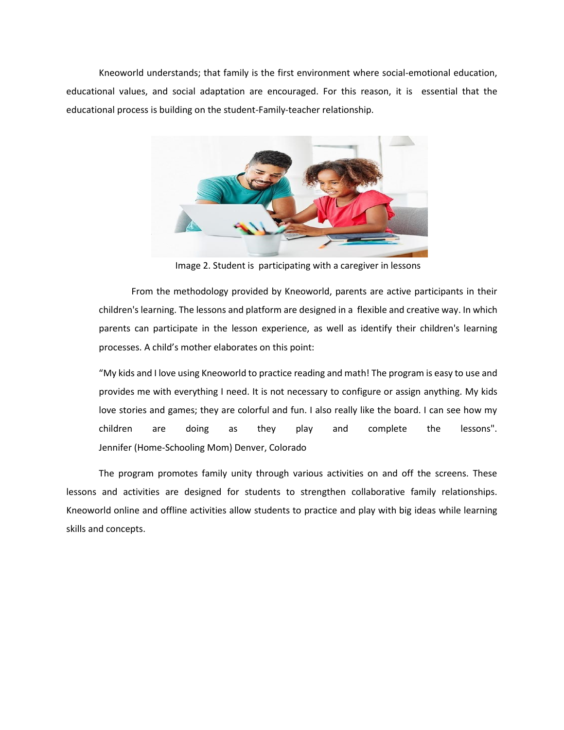Kneoworld understands; that family is the first environment where social-emotional education, educational values, and social adaptation are encouraged. For this reason, it is essential that the educational process is building on the student-Family-teacher relationship.



Image 2. Student is participating with a caregiver in lessons

From the methodology provided by Kneoworld, parents are active participants in their children's learning. The lessons and platform are designed in a flexible and creative way. In which parents can participate in the lesson experience, as well as identify their children's learning processes. A child's mother elaborates on this point:

"My kids and I love using Kneoworld to practice reading and math! The program is easy to use and provides me with everything I need. It is not necessary to configure or assign anything. My kids love stories and games; they are colorful and fun. I also really like the board. I can see how my children are doing as they play and complete the lessons". Jennifer (Home-Schooling Mom) Denver, Colorado

The program promotes family unity through various activities on and off the screens. These lessons and activities are designed for students to strengthen collaborative family relationships. Kneoworld online and offline activities allow students to practice and play with big ideas while learning skills and concepts.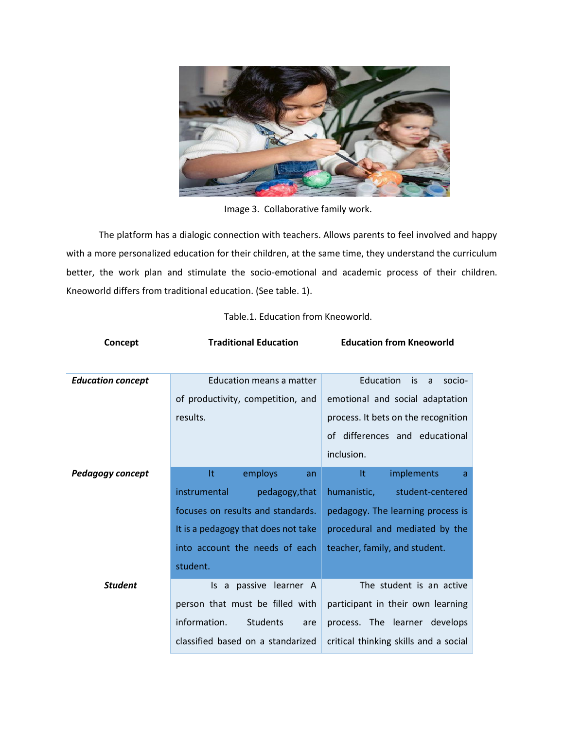

Image 3. Collaborative family work.

The platform has a dialogic connection with teachers. Allows parents to feel involved and happy with a more personalized education for their children, at the same time, they understand the curriculum better, the work plan and stimulate the socio-emotional and academic process of their children. Kneoworld differs from traditional education. (See table. 1).

| Concept                  | <b>Traditional Education</b>           | <b>Education from Kneoworld</b>       |
|--------------------------|----------------------------------------|---------------------------------------|
|                          |                                        |                                       |
| <b>Education concept</b> | Education means a matter               | Education<br>is<br>a<br>socio-        |
|                          | of productivity, competition, and      | emotional and social adaptation       |
|                          | results.                               | process. It bets on the recognition   |
|                          |                                        | of differences and educational        |
|                          |                                        | inclusion.                            |
| Pedagogy concept         | It<br>employs<br>an                    | It<br>implements<br>a                 |
|                          | instrumental<br>pedagogy, that         | humanistic,<br>student-centered       |
|                          | focuses on results and standards.      | pedagogy. The learning process is     |
|                          | It is a pedagogy that does not take    | procedural and mediated by the        |
|                          | into account the needs of each         | teacher, family, and student.         |
|                          | student.                               |                                       |
| <b>Student</b>           | a passive learner A<br>ls.             | The student is an active              |
|                          | person that must be filled with        | participant in their own learning     |
|                          | information.<br><b>Students</b><br>are | process. The learner develops         |
|                          | classified based on a standarized      | critical thinking skills and a social |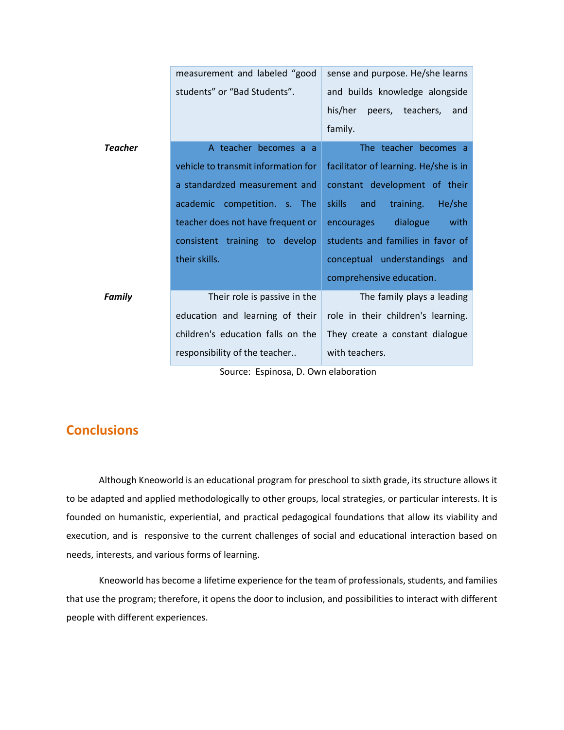|                                                                                                                                                                                                                                | measurement and labeled "good       | sense and purpose. He/she learns      |
|--------------------------------------------------------------------------------------------------------------------------------------------------------------------------------------------------------------------------------|-------------------------------------|---------------------------------------|
|                                                                                                                                                                                                                                | students" or "Bad Students".        | and builds knowledge alongside        |
|                                                                                                                                                                                                                                |                                     | his/her<br>peers, teachers, and       |
|                                                                                                                                                                                                                                |                                     | family.                               |
| <b>Teacher</b>                                                                                                                                                                                                                 | A teacher becomes a a               | The teacher becomes a                 |
|                                                                                                                                                                                                                                | vehicle to transmit information for | facilitator of learning. He/she is in |
|                                                                                                                                                                                                                                | a standardzed measurement and       | constant development of their         |
|                                                                                                                                                                                                                                | academic competition. s. The        | skills<br>and<br>training.<br>He/she  |
|                                                                                                                                                                                                                                | teacher does not have frequent or   | dialogue<br>with<br>encourages        |
|                                                                                                                                                                                                                                | consistent training to develop      | students and families in favor of     |
|                                                                                                                                                                                                                                | their skills.                       | conceptual understandings and         |
|                                                                                                                                                                                                                                |                                     | comprehensive education.              |
| <b>Family</b>                                                                                                                                                                                                                  | Their role is passive in the        | The family plays a leading            |
|                                                                                                                                                                                                                                | education and learning of their     | role in their children's learning.    |
|                                                                                                                                                                                                                                | children's education falls on the   | They create a constant dialogue       |
|                                                                                                                                                                                                                                | responsibility of the teacher       | with teachers.                        |
| A contract and a contract and a contract of the contract of the contract of the contract of the contract of the contract of the contract of the contract of the contract of the contract of the contract of the contract of th |                                     |                                       |

Source: Espinosa, D. Own elaboration

## **Conclusions**

Although Kneoworld is an educational program for preschool to sixth grade, its structure allows it to be adapted and applied methodologically to other groups, local strategies, or particular interests. It is founded on humanistic, experiential, and practical pedagogical foundations that allow its viability and execution, and is responsive to the current challenges of social and educational interaction based on needs, interests, and various forms of learning.

Kneoworld has become a lifetime experience for the team of professionals, students, and families that use the program; therefore, it opens the door to inclusion, and possibilities to interact with different people with different experiences.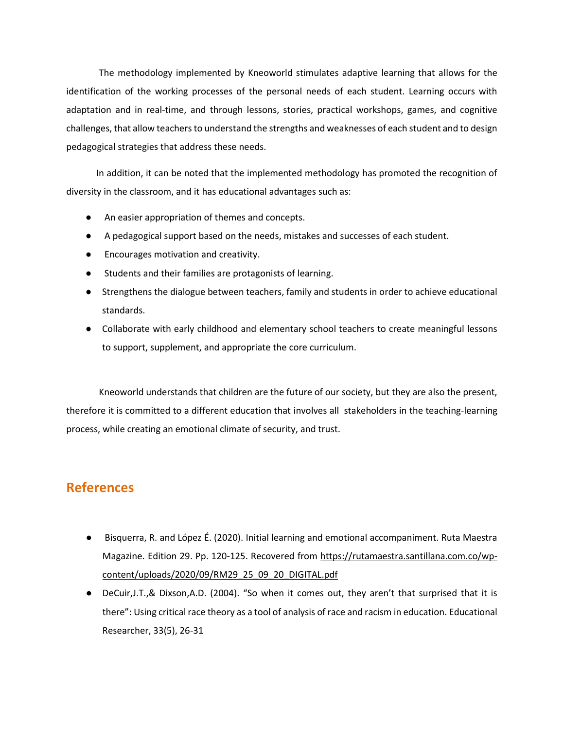The methodology implemented by Kneoworld stimulates adaptive learning that allows for the identification of the working processes of the personal needs of each student. Learning occurs with adaptation and in real-time, and through lessons, stories, practical workshops, games, and cognitive challenges, that allow teachers to understand the strengths and weaknesses of each student and to design pedagogical strategies that address these needs.

 In addition, it can be noted that the implemented methodology has promoted the recognition of diversity in the classroom, and it has educational advantages such as:

- An easier appropriation of themes and concepts.
- A pedagogical support based on the needs, mistakes and successes of each student.
- Encourages motivation and creativity.
- Students and their families are protagonists of learning.
- Strengthens the dialogue between teachers, family and students in order to achieve educational standards.
- Collaborate with early childhood and elementary school teachers to create meaningful lessons to support, supplement, and appropriate the core curriculum.

Kneoworld understands that children are the future of our society, but they are also the present, therefore it is committed to a different education that involves all stakeholders in the teaching-learning process, while creating an emotional climate of security, and trust.

# **References**

- Bisquerra, R. and López É. (2020). Initial learning and emotional accompaniment. Ruta Maestra Magazine. Edition 29. Pp. 120-125. Recovered from [https://rutamaestra.santillana.com.co/wp](https://rutamaestra.santillana.com.co/wp-content/uploads/2020/09/RM29_25_09_20_DIGITAL.pdf)[content/uploads/2020/09/RM29\\_25\\_09\\_20\\_DIGITAL.pdf](https://rutamaestra.santillana.com.co/wp-content/uploads/2020/09/RM29_25_09_20_DIGITAL.pdf)
- DeCuir,J.T.,& Dixson,A.D. (2004). "So when it comes out, they aren't that surprised that it is there": Using critical race theory as a tool of analysis of race and racism in education. Educational Researcher, 33(5), 26-31